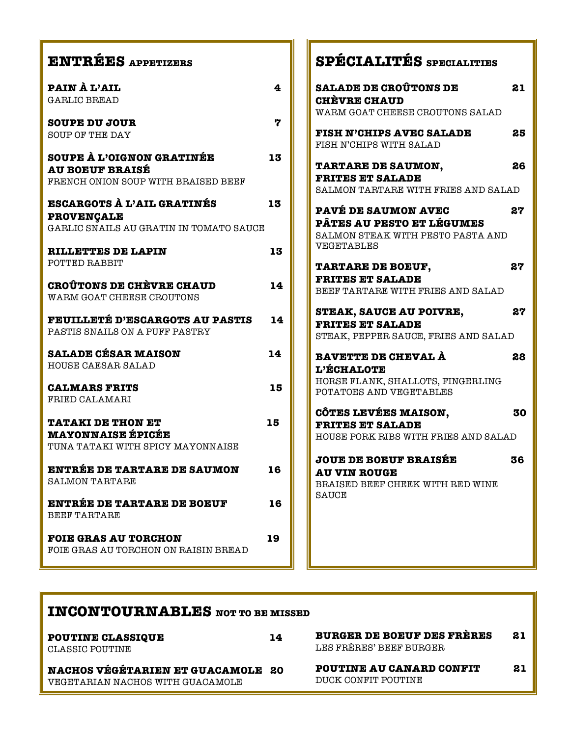| <b>ENTRÉES APPETIZERS</b>                                                                         |                         | SPÉCIALITÉS SPECIALITIES                                                                                          |    |
|---------------------------------------------------------------------------------------------------|-------------------------|-------------------------------------------------------------------------------------------------------------------|----|
| PAIN À L'AIL<br><b>GARLIC BREAD</b>                                                               | $\overline{\mathbf{4}}$ | <b>SALADE DE CROÛTONS DE</b><br><b>CHÈVRE CHAUD</b><br>WARM GOAT CHEESE CROUTONS SALAD                            | 21 |
| <b>SOUPE DU JOUR</b><br><b>SOUP OF THE DAY</b>                                                    | 7                       | <b>FISH N'CHIPS AVEC SALADE</b><br>FISH N'CHIPS WITH SALAD                                                        | 25 |
| <b>SOUPE À L'OIGNON GRATINÉE</b><br><b>AU BOEUF BRAISÉ</b><br>FRENCH ONION SOUP WITH BRAISED BEEF | 13                      | <b>TARTARE DE SAUMON,</b><br><b>FRITES ET SALADE</b><br>SALMON TARTARE WITH FRIES AND SALAD                       | 26 |
| <b>ESCARGOTS À L'AIL GRATINÉS</b><br><b>PROVENÇALE</b><br>GARLIC SNAILS AU GRATIN IN TOMATO SAUCE | 13                      | <b>PAVÉ DE SAUMON AVEC</b><br><b>PÂTES AU PESTO ET LÉGUMES</b><br>SALMON STEAK WITH PESTO PASTA AND<br>VEGETABLES | 27 |
| <b>RILLETTES DE LAPIN</b><br>POTTED RABBIT                                                        | 13                      | <b>TARTARE DE BOEUF,</b><br><b>FRITES ET SALADE</b>                                                               | 27 |
| <b>CROUTONS DE CHÈVRE CHAUD</b><br>WARM GOAT CHEESE CROUTONS                                      | 14                      | BEEF TARTARE WITH FRIES AND SALAD<br><b>STEAK, SAUCE AU POIVRE,</b>                                               | 27 |
| <b>FEUILLETÉ D'ESCARGOTS AU PASTIS</b><br>PASTIS SNAILS ON A PUFF PASTRY                          | 14                      | <b>FRITES ET SALADE</b><br>STEAK, PEPPER SAUCE, FRIES AND SALAD                                                   |    |
| <b>SALADE CÉSAR MAISON</b><br>HOUSE CAESAR SALAD                                                  | 14                      | BAVETTE DE CHEVAL À<br><b>L'ÉCHALOTE</b>                                                                          | 28 |
| <b>CALMARS FRITS</b><br>FRIED CALAMARI                                                            | 15                      | HORSE FLANK, SHALLOTS, FINGERLING<br>POTATOES AND VEGETABLES                                                      |    |
| <b>TATAKI DE THON ET</b><br><b>MAYONNAISE ÉPICÉE</b><br>TUNA TATAKI WITH SPICY MAYONNAISE         | 15                      | <b>CÔTES LEVÉES MAISON,</b><br><b>FRITES ET SALADE</b><br>HOUSE PORK RIBS WITH FRIES AND SALAD                    | 30 |
| <b>ENTRÉE DE TARTARE DE SAUMON</b><br><b>SALMON TARTARE</b>                                       | 16                      | <b>JOUE DE BOEUF BRAISÉE</b><br><b>AU VIN ROUGE</b><br>BRAISED BEEF CHEEK WITH RED WINE                           | 36 |
| <b>ENTRÉE DE TARTARE DE BOEUF</b><br><b>BEEF TARTARE</b>                                          | 16                      | SAUCE                                                                                                             |    |
| <b>FOIE GRAS AU TORCHON</b><br>FOIE GRAS AU TORCHON ON RAISIN BREAD                               | 19                      |                                                                                                                   |    |

 $\blacksquare$ Г

| <b>INCONTOURNABLES</b> NOT TO BE MISSED                                      |    |                                                              |    |
|------------------------------------------------------------------------------|----|--------------------------------------------------------------|----|
| <b>POUTINE CLASSIQUE</b><br>CLASSIC POUTINE                                  | 14 | <b>BURGER DE BOEUF DES FRÈRES</b><br>LES FRÈRES' BEEF BURGER | 21 |
| <b>NACHOS VÉGÉTARIEN ET GUACAMOLE 20</b><br>VEGETARIAN NACHOS WITH GUACAMOLE |    | <b>POUTINE AU CANARD CONFIT</b><br>DUCK CONFIT POUTINE       | 21 |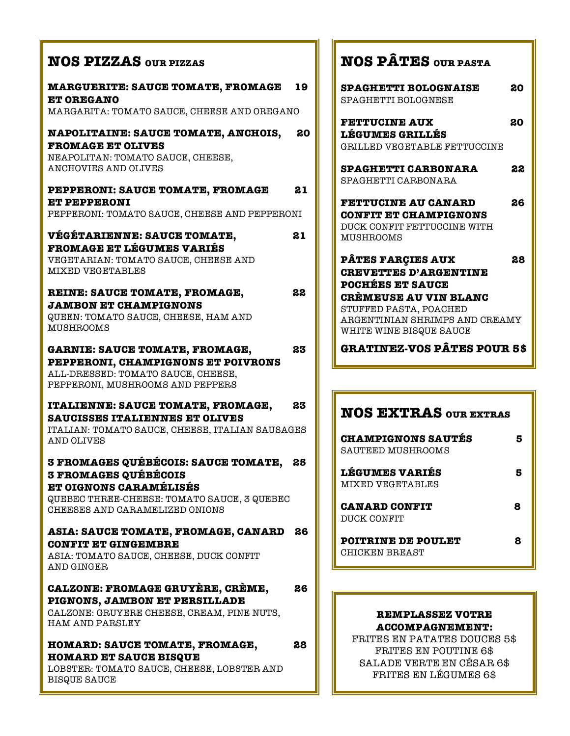### **NOS PIZZAS OUR PIZZAS**

**MARGUERITE: SAUCE TOMATE, FROMAGE 19 ET OREGANO**  MARGARITA: TOMATO SAUCE, CHEESE AND OREGANO

#### **NAPOLITAINE: SAUCE TOMATE, ANCHOIS, 20 FROMAGE ET OLIVES**

NEAPOLITAN: TOMATO SAUCE, CHEESE, ANCHOVIES AND OLIVES

#### **PEPPERONI: SAUCE TOMATE, FROMAGE 21 ET PEPPERONI**

PEPPERONI: TOMATO SAUCE, CHEESE AND PEPPERONI

#### **VÉGÉTARIENNE: SAUCE TOMATE, 21 FROMAGE ET LÉGUMES VARIÉS**  VEGETARIAN: TOMATO SAUCE, CHEESE AND MIXED VEGETABLES

**REINE: SAUCE TOMATE, FROMAGE, 22 JAMBON ET CHAMPIGNONS** 

QUEEN: TOMATO SAUCE, CHEESE, HAM AND MUSHROOMS

#### **GARNIE: SAUCE TOMATE, FROMAGE, 23 PEPPERONI, CHAMPIGNONS ET POIVRONS** ALL-DRESSED: TOMATO SAUCE, CHEESE, PEPPERONI, MUSHROOMS AND PEPPERS

#### **ITALIENNE: SAUCE TOMATE, FROMAGE, 23 SAUCISSES ITALIENNES ET OLIVES**

ITALIAN: TOMATO SAUCE, CHEESE, ITALIAN SAUSAGES AND OLIVES

#### **3 FROMAGES QUÉBÉCOIS: SAUCE TOMATE, 25 3 FROMAGES QUÉBÉCOIS ET OIGNONS CARAMÉLISÉS**

QUEBEC THREE-CHEESE: TOMATO SAUCE, 3 QUEBEC CHEESES AND CARAMELIZED ONIONS

#### **ASIA: SAUCE TOMATE, FROMAGE, CANARD 26 CONFIT ET GINGEMBRE**

ASIA: TOMATO SAUCE, CHEESE, DUCK CONFIT AND GINGER

#### **CALZONE: FROMAGE GRUYÈRE, CRÈME, 26 PIGNONS, JAMBON ET PERSILLADE**

CALZONE: GRUYERE CHEESE, CREAM, PINE NUTS, HAM AND PARSLEY

#### **HOMARD: SAUCE TOMATE, FROMAGE, 28 HOMARD ET SAUCE BISQUE**

LOBSTER: TOMATO SAUCE, CHEESE, LOBSTER AND BISQUE SAUCE

# **NOS PÂTES OUR PASTA**

| SPAGHETTI BOLOGNAISE<br>SPAGHETTI BOLOGNESE                                                                   | 20 |
|---------------------------------------------------------------------------------------------------------------|----|
| <b>FETTUCINE AUX</b><br><b>LÉGUMES GRILLÉS</b><br>GRILLED VEGETABLE FETTUCCINE                                | 20 |
| <b>SPAGHETTI CARBONARA</b><br>SPAGHETTI CARBONARA                                                             | 22 |
| <b>FETTUCINE AU CANARD</b><br><b>CONFIT ET CHAMPIGNONS</b><br>DUCK CONFIT FETTUCCINE WITH<br><b>MUSHROOMS</b> | 26 |
| <b>PÂTES FARÇIES AUX</b><br><b>CREVETTES D'ARGENTINE</b><br><b>POCHÉES ET SAUCE</b>                           | 28 |
| CRÉMEUSE AU VIN BLANC<br>STUFFED PASTA, POACHED<br>ABGENTINIAN SHRIMPS AND CREAMY<br>WHITE WINE BISQUE SAUCE  |    |
| GRATINEZ-VOS PÂTES POUR 5\$                                                                                   |    |

### **NOS EXTRAS OUR EXTRAS**

| <b>CHAMPIGNONS SAUTES</b><br>SAUTEED MUSHROOMS |   |
|------------------------------------------------|---|
| <b>LÉGUMES VARIÉS</b><br>MIXED VEGETABLES      |   |
| <b>CANARD CONFIT</b><br>DUCK CONFIT            | 8 |
| POITRINE DE POULET<br>CHICKEN BREAST           |   |

#### **REMPLASSEZ VOTRE ACCOMPAGNEMENT:**

FRITES EN PATATES DOUCES 5\$ FRITES EN POUTINE 6\$ SALADE VERTE EN CÉSAR 6\$ FRITES EN LÉGUMES 6\$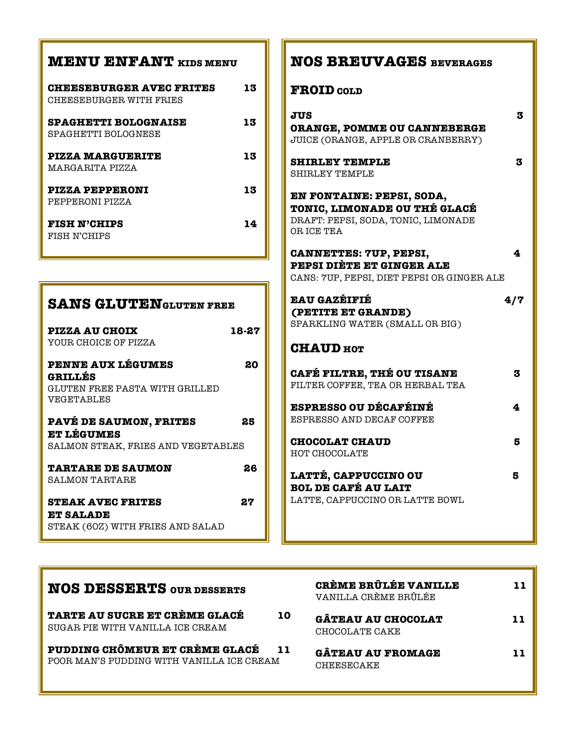| <b>MENU ENFANT</b> KIDS MENU                                                     |       | <b>NOS BREUVAGES BEVERAGES</b>                                                                           |
|----------------------------------------------------------------------------------|-------|----------------------------------------------------------------------------------------------------------|
| <b>CHEESEBURGER AVEC FRITES</b><br>CHEESEBURGER WITH FRIES                       | 13    | <b>FROID</b> COLD                                                                                        |
| <b>SPAGHETTI BOLOGNAISE</b><br>SPAGHETTI BOLOGNESE                               | 13    | <b>JUS</b><br>ORANGE, POMME OU CANNEBERGE<br>JUICE (ORANGE, APPLE OR CRANBERRY)                          |
| <b>PIZZA MARGUERITE</b><br>MARGARITA PIZZA                                       | 13    | <b>SHIRLEY TEMPLE</b><br><b>SHIRLEY TEMPLE</b>                                                           |
| <b>PIZZA PEPPERONI</b><br>PEPPERONI PIZZA                                        | 13    | EN FONTAINE: PEPSI, SODA,<br>TONIC, LIMONADE OU THÉ GLACÉ                                                |
| <b>FISH N'CHIPS</b><br>FISH N'CHIPS                                              | 14    | DRAFT: PEPSI, SODA, TONIC, LIMONADE<br>OR ICE TEA                                                        |
|                                                                                  |       | <b>CANNETTES: 7UP, PEPSI,</b><br>PEPSI DIÈTE ET GINGER ALE<br>CANS: 7UP, PEPSI, DIET PEPSI OR GINGER ALE |
| <b>SANS GLUTENGLUTEN FREE</b>                                                    |       | <b>EAU GAZÉIFIÉ</b><br>(PETITE ET GRANDE)                                                                |
| <b>PIZZA AU CHOIX</b><br>YOUR CHOICE OF PIZZA                                    | 18-27 | SPARKLING WATER (SMALL OR BIG)<br><b>CHAUD</b> HOT                                                       |
| <b>PENNE AUX LÉGUMES</b><br><b>GRILLÉS</b><br>GLUTEN FREE PASTA WITH GRILLED     | 80    | <b>CAFÉ FILTRE, THÉ OU TISANE</b><br>FILTER COFFEE, TEA OR HERBAL TEA                                    |
| VEGETABLES<br><b>PAVÉ DE SAUMON, FRITES</b>                                      | 25    | <b>ESPRESSO OU DÉCAFÉINÉ</b><br>ESPRESSO AND DECAF COFFEE                                                |
| <b>ET LÉGUMES</b><br>SALMON STEAK, FRIES AND VEGETABLES                          |       | <b>CHOCOLAT CHAUD</b><br>HOT CHOCOLATE                                                                   |
| <b>TARTARE DE SAUMON</b><br><b>SALMON TARTARE</b>                                | 26    | LATTÉ, CAPPUCCINO OU<br><b>BOL DE CAFÉ AU LAIT</b>                                                       |
| <b>STEAK AVEC FRITES</b><br><b>ET SALADE</b><br>STEAK (60Z) WITH FRIES AND SALAD | 27    | LATTE, CAPPUCCINO OR LATTE BOWL                                                                          |

| <b>NOS DESSERTS OUR DESSERTS</b>                                            | CRÈME BRÛLÉE VANILLE<br>VANILLA CRÈME BRÛLÉE |  |
|-----------------------------------------------------------------------------|----------------------------------------------|--|
| TARTE AU SUCRE ET CRÈME GLACÉ<br>10<br>SUGAR PIE WITH VANILLA ICE CREAM     | <b>GÂTEAU AU CHOCOLAT</b><br>CHOCOLATE CAKE  |  |
| PUDDING CHÔMEUR ET CRÈME GLACÉ<br>POOR MAN'S PUDDING WITH VANILLA ICE CREAM | <b>GÂTEAU AU FROMAGE</b><br>CHEESECAKE       |  |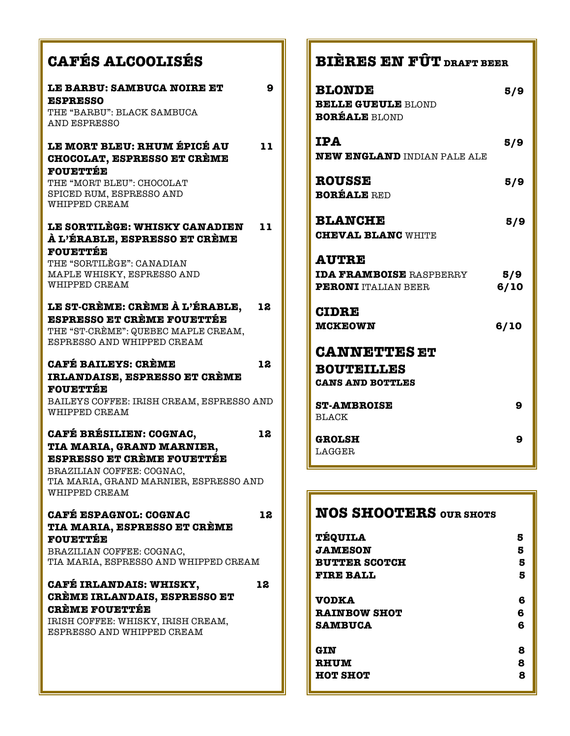# **CAFÉS ALCOOLISÉS**

| LE BARBU: SAMBUCA NOIRE ET                                         | 9  |
|--------------------------------------------------------------------|----|
| <b>ESPRESSO</b>                                                    |    |
| THE "BARBU": BLACK SAMBUCA                                         |    |
| AND ESPRESSO                                                       |    |
|                                                                    |    |
| LE MORT BLEU: RHUM ÉPICÉ AU                                        | 11 |
| <b>CHOCOLAT, ESPRESSO ET CRÈME</b>                                 |    |
| <b>FOUETTÉE</b>                                                    |    |
| THE "MORT BLEU": CHOCOLAT                                          |    |
| SPICED RUM, ESPRESSO AND                                           |    |
| WHIPPED CREAM                                                      |    |
| LE SORTILÈGE: WHISKY CANADIEN                                      | 11 |
| À L'ÉRABLE, ESPRESSO ET CRÈME                                      |    |
| <b>FOUETTÉE</b>                                                    |    |
| THE "SORTILEGE": CANADIAN                                          |    |
| MAPLE WHISKY, ESPRESSO AND                                         |    |
| WHIPPED CREAM                                                      |    |
|                                                                    |    |
| LE ST-CRÈME: CRÈME À L'ÉRABLE,                                     | 12 |
| <b>ESPRESSO ET CRÈME FOUETTÉE</b>                                  |    |
| THE "ST-CREME": QUEBEC MAPLE CREAM,                                |    |
| ESPRESSO AND WHIPPED CREAM                                         |    |
| <b>CAFÉ BAILEYS: CRÈME</b>                                         | 12 |
|                                                                    |    |
| IRLANDAISE, ESPRESSO ET CRÈME<br><b>FOUETTÉE</b>                   |    |
| BAILEYS COFFEE: IRISH CREAM, ESPRESSO AND                          |    |
| WHIPPED CREAM                                                      |    |
|                                                                    |    |
| CAFÉ BRÉSILIEN: COGNAC,                                            | 12 |
| TIA MARIA, GRAND MARNIER,                                          |    |
| <b>ESPRESSO ET CRÈME FOUETTÉE</b>                                  |    |
| BRAZILIAN COFFEE: COGNAC.                                          |    |
| TIA MARIA, GRAND MARNIER, ESPRESSO AND                             |    |
| WHIPPED CREAM                                                      |    |
|                                                                    |    |
| <b>CAFÉ ESPAGNOL: COGNAC</b>                                       | 12 |
| <b>TIA MARIA, ESPRESSO ET CRÈME</b>                                |    |
| <b>FOUETTÉE</b>                                                    |    |
| BRAZILIAN COFFEE: COGNAC,<br>TIA MARIA, ESPRESSO AND WHIPPED CREAM |    |
|                                                                    |    |
| CAFÉ IRLANDAIS: WHISKY,                                            | 12 |
| CRÈME IRLANDAIS, ESPRESSO ET                                       |    |
| <b>CRÈME FOUETTÉE</b>                                              |    |
| IRISH COFFEE: WHISKY, IRISH CREAM,                                 |    |
| ESPRESSO AND WHIPPED CREAM                                         |    |

| <b>BIERES EN FÜT</b> draft beer |
|---------------------------------|
| 5/9                             |
| 5/9                             |
| 5/9                             |
| 5/9                             |
| 5/9<br>6/10                     |
| 6/10                            |
|                                 |
| 9                               |
| 9                               |
|                                 |

# **NOS SHOOTERS OUR SHOTS**

| <b>TÉQUILA</b>       | 5 |
|----------------------|---|
| <b>JAMESON</b>       | 5 |
| <b>BUTTER SCOTCH</b> | 5 |
| <b>FIRE BALL</b>     | 5 |
| <b>VODKA</b>         | 6 |
| <b>RAINBOW SHOT</b>  | 6 |
| <b>SAMBUCA</b>       | 6 |
| GIN                  | 8 |
| <b>RHUM</b>          | 8 |
| <b>HOT SHOT</b>      | 8 |
|                      |   |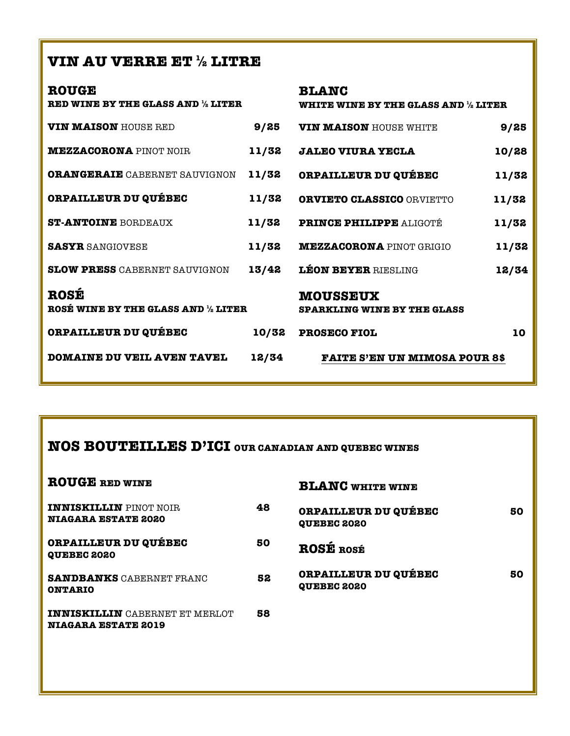## **VIN AU VERRE ET ½ LITRE**

| <b>ROUGE</b><br><b>RED WINE BY THE GLASS AND 1/2 LITER</b> |       | <b>BLANC</b><br>WHITE WINE BY THE GLASS AND $\%$ LITER |       |
|------------------------------------------------------------|-------|--------------------------------------------------------|-------|
| <b>VIN MAISON</b> HOUSE RED                                | 9/25  | <b>VIN MAISON HOUSE WHITE</b>                          | 9/25  |
| <b>MEZZACORONA</b> PINOT NOIR                              | 11/32 | <b>JALEO VIURA YECLA</b>                               | 10/28 |
| <b>ORANGERAIE</b> CABERNET SAUVIGNON                       | 11/32 | <b>ORPAILLEUR DU QUÉBEC</b>                            | 11/32 |
| <b>ORPAILLEUR DU QUÉBEC</b>                                | 11/32 | <b>ORVIETO CLASSICO ORVIETTO</b>                       | 11/32 |
| <b>ST-ANTOINE BORDEAUX</b>                                 | 11/32 | PRINCE PHILIPPE ALIGOTÉ                                | 11/32 |
| <b>SASYR SANGIOVESE</b>                                    | 11/32 | <b>MEZZACORONA PINOT GRIGIO</b>                        | 11/32 |
| <b>SLOW PRESS CABERNET SAUVIGNON</b>                       | 13/42 | <b>LÉON BEYER RIESLING</b>                             | 12/34 |
| <b>ROSÉ</b><br>ROSÉ WINE BY THE GLASS AND 1/2 LITER        |       | <b>MOUSSEUX</b><br><b>SPARKLING WINE BY THE GLASS</b>  |       |
| <b>ORPAILLEUR DU QUÉBEC</b>                                | 10/32 | <b>PROSECO FIOL</b>                                    | 10    |
| <b>DOMAINE DU VEIL AVEN TAVEL</b>                          | 12/34 | <b>FAITE S'EN UN MIMOSA POUR 8\$</b>                   |       |

## **NOS BOUTEILLES D'ICI OUR CANADIAN AND QUEBEC WINES**

| <b>ROUGE RED WINE</b>                                               |    | <b>BLANC WHITE WINE</b>                           |    |
|---------------------------------------------------------------------|----|---------------------------------------------------|----|
| <b>INNISKILLIN</b> PINOT NOIR<br><b>NIAGARA ESTATE 2020</b>         | 48 | ORPAILLEUR DU QUÉBEC<br><b>QUEBEC 2020</b>        | 50 |
| <b>ORPAILLEUR DU QUÉBEC</b><br><b>QUEBEC 2020</b>                   | 50 | <b>ROSÉ ROSÉ</b>                                  |    |
| <b>SANDBANKS CABERNET FRANC</b><br><b>ONTARIO</b>                   | 52 | <b>ORPAILLEUR DU QUÉBEC</b><br><b>QUEBEC 2020</b> | 50 |
| <b>INNISKILLIN</b> CABERNET ET MERLOT<br><b>NIAGARA ESTATE 2019</b> | 58 |                                                   |    |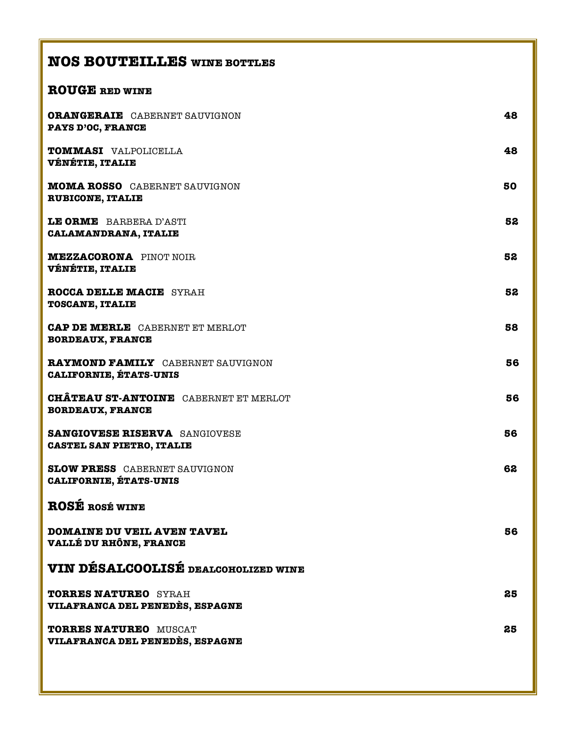## **NOS BOUTEILLES WINE BOTTLES**

### **ROUGE RED WINE**

| <b>ORANGERAIE</b> CABERNET SAUVIGNON<br><b>PAYS D'OC, FRANCE</b>         | 48 |
|--------------------------------------------------------------------------|----|
| TOMMASI VALPOLICELLA<br><b>VÉNÉTIE, ITALIE</b>                           | 48 |
| <b>MOMA ROSSO</b> CABERNET SAUVIGNON<br><b>RUBICONE, ITALIE</b>          | 50 |
| LE ORME BARBERA D'ASTI<br><b>CALAMANDRANA, ITALIE</b>                    | 52 |
| <b>MEZZACORONA</b> PINOT NOIR<br><b>VÉNÉTIE, ITALIE</b>                  | 52 |
| <b>ROCCA DELLE MACIE SYRAH</b><br><b>TOSCANE, ITALIE</b>                 | 52 |
| <b>CAP DE MERLE CABERNET ET MERLOT</b><br><b>BORDEAUX, FRANCE</b>        | 58 |
| RAYMOND FAMILY CABERNET SAUVIGNON<br><b>CALIFORNIE, ÉTATS-UNIS</b>       | 56 |
| <b>CHÂTEAU ST-ANTOINE</b> CABERNET ET MERLOT<br><b>BORDEAUX, FRANCE</b>  | 56 |
| <b>SANGIOVESE RISERVA SANGIOVESE</b><br><b>CASTEL SAN PIETRO, ITALIE</b> | 56 |
| <b>SLOW PRESS</b> CABERNET SAUVIGNON<br><b>CALIFORNIE, ÉTATS-UNIS</b>    | 62 |
| <b>ROSE ROSÉ WINE</b>                                                    |    |
| <b>DOMAINE DU VEIL AVEN TAVEL</b><br>VALLÉ DU RHÔNE, FRANCE              | 56 |
| VIN DÉSALCOOLISÉ DEALCOHOLIZED WINE                                      |    |
| <b>TORRES NATUREO SYRAH</b><br>VILAFRANCA DEL PENEDÈS, ESPAGNE           | 25 |
| <b>TORRES NATUREO MUSCAT</b><br>VILAFRANCA DEL PENEDÈS, ESPAGNE          | 25 |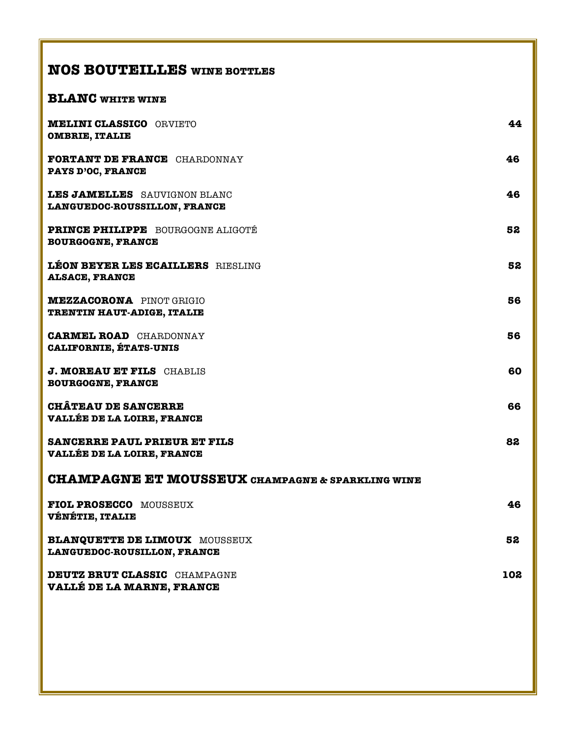# **NOS BOUTEILLES WINE BOTTLES**

### **BLANC WHITE WINE**

| <b>MELINI CLASSICO ORVIETO</b><br><b>OMBRIE, ITALIE</b>                  | 44  |
|--------------------------------------------------------------------------|-----|
| <b>FORTANT DE FRANCE CHARDONNAY</b><br>PAYS D'OC, FRANCE                 | 46  |
| <b>LES JAMELLES</b> SAUVIGNON BLANC<br>LANGUEDOC-ROUSSILLON, FRANCE      | 46  |
| PRINCE PHILIPPE BOURGOGNE ALIGOTÉ<br><b>BOURGOGNE, FRANCE</b>            | 52  |
| <b>LEON BEYER LES ECAILLERS</b> RIESLING<br><b>ALSACE, FRANCE</b>        | 52  |
| <b>MEZZACORONA</b> PINOT GRIGIO<br>TRENTIN HAUT-ADIGE, ITALIE            | 56  |
| <b>CARMEL ROAD</b> CHARDONNAY<br><b>CALIFORNIE, ÉTATS-UNIS</b>           | 56  |
| J. MOREAU ET FILS CHABLIS<br><b>BOURGOGNE, FRANCE</b>                    | 60  |
| <b>CHÂTEAU DE SANCERRE</b><br><b>VALLÉE DE LA LOIRE, FRANCE</b>          | 66  |
| <b>SANCERRE PAUL PRIEUR ET FILS</b><br><b>VALLÉE DE LA LOIRE, FRANCE</b> | 82  |
| <b>CHAMPAGNE ET MOUSSEUX CHAMPAGNE &amp; SPARKLING WINE</b>              |     |
| <b>FIOL PROSECCO MOUSSEUX</b><br><b>VÉNÉTIE, ITALIE</b>                  | 46  |
| <b>BLANQUETTE DE LIMOUX MOUSSEUX</b><br>LANGUEDOC-ROUSILLON, FRANCE      | 52  |
| <b>DEUTZ BRUT CLASSIC CHAMPAGNE</b><br>VALLÉ DE LA MARNE, FRANCE         | 102 |